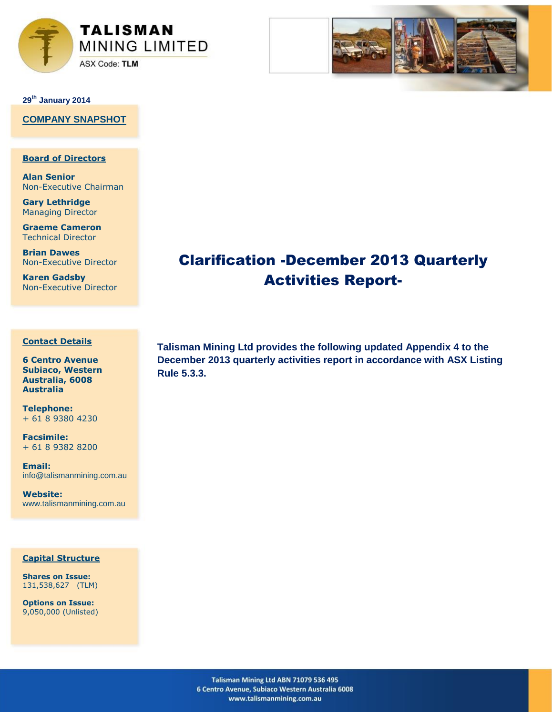



**29th January 2014**

**COMPANY SNAPSHOT**

# **Board of Directors**

**Alan Senior** Non-Executive Chairman

**Gary Lethridge** Managing Director

**Graeme Cameron** Technical Director

**Brian Dawes** Non-Executive Director

**Karen Gadsby** Non-Executive Director

## **Contact Details**

**6 Centro Avenue Subiaco, Western Australia, 6008 Australia**

**Telephone:** + 61 8 9380 4230

**Facsimile:** + 61 8 9382 8200

**Email:**  info@talismanmining.com.au

**Website:**  www.talismanmining.com.au

## **Capital Structure**

**Shares on Issue:**  131,538,627 (TLM)

**Options on Issue:**  9,050,000 (Unlisted) **Talisman Mining Ltd provides the following updated Appendix 4 to the December 2013 quarterly activities report in accordance with ASX Listing Rule 5.3.3.**

Clarification -December 2013 Quarterly

Activities Report-